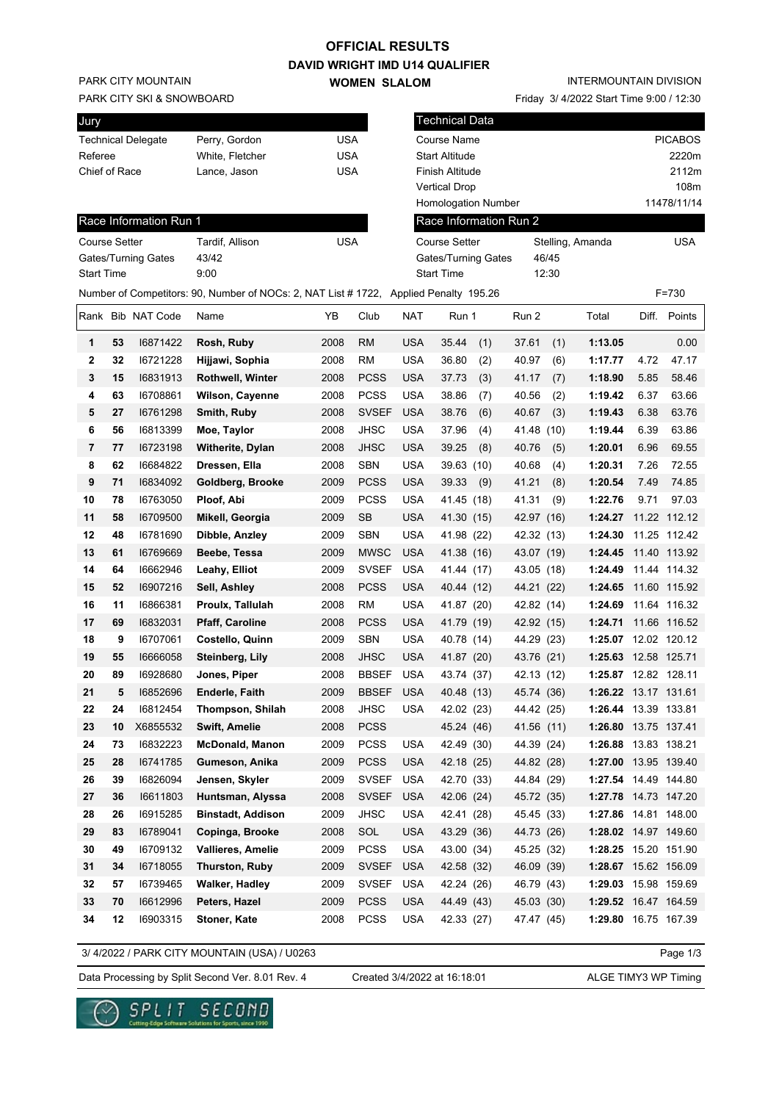## **OFFICIAL RESULTS**

**DAVID WRIGHT IMD U14 QUALIFIER WOMEN SLALOM** 

PARK CITY MOUNTAIN

PARK CITY SKI & SNOWBOARD

| Jury                      |                 |     |
|---------------------------|-----------------|-----|
| <b>Technical Delegate</b> | Perry, Gordon   | USA |
| Referee                   | White, Fletcher | USA |
| Chief of Race             | Lance, Jason    | USA |
|                           |                 |     |

Friday 3/ 4/2022 Start Time 9:00 / 12:30

| Jury                 |    |                           |                                                                                       |            |              |            | Technical Data             |     |                        |       |                      |      |                |
|----------------------|----|---------------------------|---------------------------------------------------------------------------------------|------------|--------------|------------|----------------------------|-----|------------------------|-------|----------------------|------|----------------|
|                      |    | <b>Technical Delegate</b> | Perry, Gordon                                                                         | <b>USA</b> |              |            | Course Name                |     |                        |       |                      |      | <b>PICABOS</b> |
| Referee              |    |                           | White, Fletcher                                                                       | <b>USA</b> |              |            | <b>Start Altitude</b>      |     |                        |       |                      |      | 2220m          |
| Chief of Race        |    |                           | Lance, Jason                                                                          | <b>USA</b> |              |            | Finish Altitude            |     |                        |       |                      |      | 2112m          |
|                      |    |                           |                                                                                       |            |              |            | <b>Vertical Drop</b>       |     |                        |       |                      |      | 108m           |
|                      |    |                           |                                                                                       |            |              |            | <b>Homologation Number</b> |     |                        |       |                      |      | 11478/11/14    |
|                      |    | Race Information Run 1    |                                                                                       |            |              |            |                            |     | Race Information Run 2 |       |                      |      |                |
| <b>Course Setter</b> |    |                           | Tardif, Allison                                                                       | <b>USA</b> |              |            | <b>Course Setter</b>       |     |                        |       | Stelling, Amanda     |      | <b>USA</b>     |
|                      |    | Gates/Turning Gates       | 43/42                                                                                 |            |              |            | <b>Gates/Turning Gates</b> |     |                        | 46/45 |                      |      |                |
| <b>Start Time</b>    |    |                           | 9:00                                                                                  |            |              |            | <b>Start Time</b>          |     |                        | 12:30 |                      |      |                |
|                      |    |                           | Number of Competitors: 90, Number of NOCs: 2, NAT List # 1722, Applied Penalty 195.26 |            |              |            |                            |     |                        |       |                      |      | $F = 730$      |
|                      |    | Rank Bib NAT Code         | Name                                                                                  | YΒ         | Club         | <b>NAT</b> | Run 1                      |     | Run 2                  |       | Total                |      | Diff. Points   |
| 1                    | 53 | 16871422                  | Rosh, Ruby                                                                            | 2008       | <b>RM</b>    | <b>USA</b> | 35.44                      | (1) | 37.61                  | (1)   | 1:13.05              |      | 0.00           |
| $\mathbf{2}$         | 32 | 16721228                  | Hijjawi, Sophia                                                                       | 2008       | <b>RM</b>    | <b>USA</b> | 36.80                      | (2) | 40.97                  | (6)   | 1:17.77              | 4.72 | 47.17          |
| 3                    | 15 | 16831913                  | <b>Rothwell, Winter</b>                                                               | 2008       | <b>PCSS</b>  | <b>USA</b> | 37.73                      | (3) | 41.17                  | (7)   | 1:18.90              | 5.85 | 58.46          |
| 4                    | 63 | 16708861                  | Wilson, Cayenne                                                                       | 2008       | <b>PCSS</b>  | <b>USA</b> | 38.86                      | (7) | 40.56                  | (2)   | 1:19.42              | 6.37 | 63.66          |
| 5                    | 27 | 16761298                  | Smith, Ruby                                                                           | 2008       | <b>SVSEF</b> | <b>USA</b> | 38.76                      | (6) | 40.67                  | (3)   | 1:19.43              | 6.38 | 63.76          |
| 6                    | 56 | 16813399                  | Moe, Taylor                                                                           | 2008       | JHSC         | <b>USA</b> | 37.96                      | (4) | 41.48                  | (10)  | 1:19.44              | 6.39 | 63.86          |
| 7                    | 77 | 16723198                  | Witherite, Dylan                                                                      | 2008       | <b>JHSC</b>  | <b>USA</b> | 39.25                      | (8) | 40.76                  | (5)   | 1:20.01              | 6.96 | 69.55          |
| 8                    | 62 | 16684822                  | Dressen, Ella                                                                         | 2008       | <b>SBN</b>   | <b>USA</b> | 39.63 (10)                 |     | 40.68                  | (4)   | 1:20.31              | 7.26 | 72.55          |
| 9                    | 71 | 16834092                  | Goldberg, Brooke                                                                      | 2009       | <b>PCSS</b>  | <b>USA</b> | 39.33                      | (9) | 41.21                  | (8)   | 1:20.54              | 7.49 | 74.85          |
| 10                   | 78 | 16763050                  | Ploof, Abi                                                                            | 2009       | <b>PCSS</b>  | <b>USA</b> | 41.45 (18)                 |     | 41.31                  | (9)   | 1:22.76              | 9.71 | 97.03          |
| 11                   | 58 | 16709500                  | Mikell, Georgia                                                                       | 2009       | <b>SB</b>    | <b>USA</b> | 41.30 (15)                 |     | 42.97 (16)             |       | 1:24.27              |      | 11.22 112.12   |
| 12                   | 48 | 16781690                  | Dibble, Anzley                                                                        | 2009       | <b>SBN</b>   | <b>USA</b> | 41.98 (22)                 |     | 42.32 (13)             |       | 1:24.30              |      | 11.25 112.42   |
| 13                   | 61 | 16769669                  | Beebe, Tessa                                                                          | 2009       | <b>MWSC</b>  | <b>USA</b> | 41.38 (16)                 |     | 43.07 (19)             |       | 1:24.45              |      | 11.40 113.92   |
| 14                   | 64 | 16662946                  | Leahy, Elliot                                                                         | 2009       | <b>SVSEF</b> | <b>USA</b> | 41.44 (17)                 |     | 43.05 (18)             |       | 1:24.49              |      | 11.44 114.32   |
| 15                   | 52 | 16907216                  | Sell, Ashley                                                                          | 2008       | <b>PCSS</b>  | <b>USA</b> | 40.44 (12)                 |     | 44.21 (22)             |       | 1:24.65              |      | 11.60 115.92   |
| 16                   | 11 | 16866381                  | Proulx, Tallulah                                                                      | 2008       | <b>RM</b>    | <b>USA</b> | 41.87 (20)                 |     | 42.82 (14)             |       | 1:24.69              |      | 11.64 116.32   |
| 17                   | 69 | 16832031                  | <b>Pfaff, Caroline</b>                                                                | 2008       | <b>PCSS</b>  | <b>USA</b> | 41.79 (19)                 |     | 42.92 (15)             |       | 1:24.71              |      | 11.66 116.52   |
| 18                   | 9  | 16707061                  | Costello, Quinn                                                                       | 2009       | SBN          | <b>USA</b> | 40.78 (14)                 |     | 44.29 (23)             |       | 1:25.07 12.02 120.12 |      |                |
| 19                   | 55 | 16666058                  | Steinberg, Lily                                                                       | 2008       | <b>JHSC</b>  | <b>USA</b> | 41.87 (20)                 |     | 43.76 (21)             |       | 1:25.63 12.58 125.71 |      |                |
| 20                   | 89 | 16928680                  | Jones, Piper                                                                          | 2008       | <b>BBSEF</b> | <b>USA</b> | 43.74 (37)                 |     | 42.13 (12)             |       | 1:25.87 12.82 128.11 |      |                |
| 21                   | 5  | 16852696                  | Enderle, Faith                                                                        | 2009       | BBSEF USA    |            | 40.48 (13)                 |     | 45.74 (36)             |       | 1:26.22 13.17 131.61 |      |                |
| 22                   | 24 | 16812454                  | <b>Thompson, Shilah</b>                                                               | 2008       | JHSC         | <b>USA</b> | 42.02 (23)                 |     | 44.42 (25)             |       | 1:26.44 13.39 133.81 |      |                |
| 23                   | 10 | X6855532                  | <b>Swift, Amelie</b>                                                                  | 2008       | <b>PCSS</b>  |            | 45.24 (46)                 |     | 41.56 (11)             |       | 1:26.80 13.75 137.41 |      |                |
| 24                   | 73 | 16832223                  | <b>McDonald, Manon</b>                                                                | 2009       | PCSS         | <b>USA</b> | 42.49 (30)                 |     | 44.39 (24)             |       | 1:26.88              |      | 13.83 138.21   |
| 25                   | 28 | 16741785                  | Gumeson, Anika                                                                        | 2009       | <b>PCSS</b>  | <b>USA</b> | 42.18 (25)                 |     | 44.82 (28)             |       | 1:27.00 13.95 139.40 |      |                |
| 26                   | 39 | 16826094                  | Jensen, Skyler                                                                        | 2009       | <b>SVSEF</b> | <b>USA</b> | 42.70 (33)                 |     | 44.84 (29)             |       | 1:27.54 14.49 144.80 |      |                |
|                      |    |                           | Huntsman, Alyssa                                                                      |            |              | <b>USA</b> | 42.06 (24)                 |     |                        |       | 1:27.78 14.73 147.20 |      |                |
| 27                   | 36 | 16611803                  |                                                                                       | 2008       | <b>SVSEF</b> |            |                            |     | 45.72 (35)             |       |                      |      |                |
| 28                   | 26 | 16915285                  | <b>Binstadt, Addison</b>                                                              | 2009       | <b>JHSC</b>  | USA        | 42.41 (28)                 |     | 45.45 (33)             |       | 1:27.86 14.81 148.00 |      |                |
| 29                   | 83 | 16789041                  | Copinga, Brooke                                                                       | 2008       | SOL          | <b>USA</b> | 43.29 (36)                 |     | 44.73 (26)             |       | 1:28.02 14.97 149.60 |      |                |
| 30                   | 49 | 16709132                  | Vallieres, Amelie                                                                     | 2009       | PCSS         | <b>USA</b> | 43.00 (34)                 |     | 45.25 (32)             |       | 1:28.25 15.20 151.90 |      |                |
| 31                   | 34 | 16718055                  | Thurston, Ruby                                                                        | 2009       | <b>SVSEF</b> | <b>USA</b> | 42.58 (32)                 |     | 46.09 (39)             |       | 1:28.67 15.62 156.09 |      |                |
| 32                   | 57 | 16739465                  | Walker, Hadley                                                                        | 2009       | <b>SVSEF</b> | <b>USA</b> | 42.24 (26)                 |     | 46.79 (43)             |       | 1:29.03 15.98 159.69 |      |                |
| 33                   | 70 | 16612996                  | Peters, Hazel                                                                         | 2009       | <b>PCSS</b>  | <b>USA</b> | 44.49 (43)                 |     | 45.03 (30)             |       | 1:29.52 16.47 164.59 |      |                |
| 34                   | 12 | 16903315                  | Stoner, Kate                                                                          | 2008       | PCSS         | <b>USA</b> | 42.33 (27)                 |     | 47.47 (45)             |       | 1:29.80 16.75 167.39 |      |                |

3/ 4/2022 / PARK CITY MOUNTAIN (USA) / U0263

Page 1/3

Data Processing by Split Second Ver. 8.01 Rev. 4 Created 3/4/2022 at 16:18:01 ALGE TIMY3 WP Timing

Created 3/4/2022 at 16:18:01

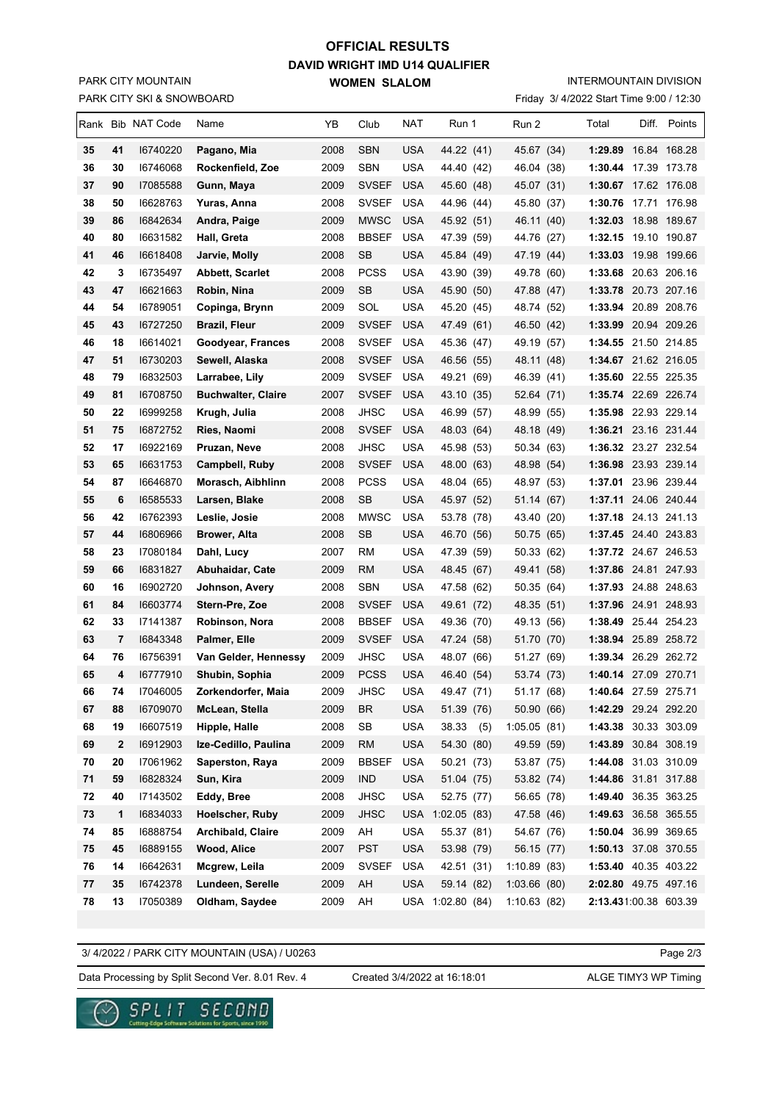## PARK CITY SKI & SNOWBOARD PARK CITY MOUNTAIN

## **DAVID WRIGHT IMD U14 QUALIFIER WOMEN SLALOM OFFICIAL RESULTS**

INTERMOUNTAIN DIVISION

Friday 3/ 4/2022 Start Time 9:00 / 12:30

|    |    | Rank Bib NAT Code | Name                      | YΒ   | Club         | NAT        | Run 1       |     | Run 2        |      | Total                 | Diff. Points |
|----|----|-------------------|---------------------------|------|--------------|------------|-------------|-----|--------------|------|-----------------------|--------------|
| 35 | 41 | 16740220          | Pagano, Mia               | 2008 | <b>SBN</b>   | <b>USA</b> | 44.22 (41)  |     | 45.67 (34)   |      | 1:29.89 16.84 168.28  |              |
| 36 | 30 | 16746068          | Rockenfield, Zoe          | 2009 | SBN          | <b>USA</b> | 44.40 (42)  |     | 46.04 (38)   |      | 1:30.44 17.39 173.78  |              |
| 37 | 90 | 17085588          | Gunn, Maya                | 2009 | <b>SVSEF</b> | <b>USA</b> | 45.60 (48)  |     | 45.07 (31)   |      | 1:30.67 17.62 176.08  |              |
| 38 | 50 | 16628763          | Yuras, Anna               | 2008 | <b>SVSEF</b> | USA        | 44.96 (44)  |     | 45.80 (37)   |      | 1:30.76 17.71 176.98  |              |
| 39 | 86 | 16842634          | Andra, Paige              | 2009 | <b>MWSC</b>  | USA        | 45.92 (51)  |     | 46.11 (40)   |      | 1:32.03               | 18.98 189.67 |
| 40 | 80 | 16631582          | Hall, Greta               | 2008 | <b>BBSEF</b> | <b>USA</b> | 47.39 (59)  |     | 44.76 (27)   |      | 1:32.15               | 19.10 190.87 |
| 41 | 46 | 16618408          | Jarvie, Molly             | 2008 | <b>SB</b>    | <b>USA</b> | 45.84 (49)  |     | 47.19 (44)   |      | 1:33.03               | 19.98 199.66 |
| 42 | 3  | 16735497          | <b>Abbett, Scarlet</b>    | 2008 | <b>PCSS</b>  | <b>USA</b> | 43.90 (39)  |     | 49.78 (60)   |      | 1:33.68 20.63 206.16  |              |
| 43 | 47 | 16621663          | Robin, Nina               | 2009 | SB           | <b>USA</b> | 45.90 (50)  |     | 47.88 (47)   |      | 1:33.78 20.73 207.16  |              |
| 44 | 54 | 16789051          | Copinga, Brynn            | 2009 | SOL          | <b>USA</b> | 45.20 (45)  |     | 48.74        | (52) | 1:33.94 20.89 208.76  |              |
| 45 | 43 | 16727250          | <b>Brazil, Fleur</b>      | 2009 | <b>SVSEF</b> | <b>USA</b> | 47.49 (61)  |     | 46.50 (42)   |      | 1:33.99 20.94 209.26  |              |
| 46 | 18 | 16614021          | Goodyear, Frances         | 2008 | SVSEF        | USA        | 45.36 (47)  |     | 49.19 (57)   |      | 1:34.55 21.50 214.85  |              |
| 47 | 51 | 16730203          | Sewell, Alaska            | 2008 | <b>SVSEF</b> | <b>USA</b> | 46.56 (55)  |     | 48.11 (48)   |      | 1:34.67 21.62 216.05  |              |
| 48 | 79 | 16832503          | Larrabee, Lily            | 2009 | <b>SVSEF</b> | USA        | 49.21 (69)  |     | 46.39 (41)   |      | 1:35.60 22.55 225.35  |              |
| 49 | 81 | 16708750          | <b>Buchwalter, Claire</b> | 2007 | <b>SVSEF</b> | <b>USA</b> | 43.10 (35)  |     | 52.64 (71)   |      | 1:35.74 22.69 226.74  |              |
| 50 | 22 | 16999258          | Krugh, Julia              | 2008 | JHSC         | <b>USA</b> | 46.99 (57)  |     | 48.99 (55)   |      | 1:35.98 22.93 229.14  |              |
| 51 | 75 | 16872752          | Ries, Naomi               | 2008 | <b>SVSEF</b> | <b>USA</b> | 48.03 (64)  |     | 48.18 (49)   |      | 1:36.21 23.16 231.44  |              |
| 52 | 17 | 16922169          | Pruzan, Neve              | 2008 | JHSC         | USA        | 45.98 (53)  |     | 50.34 (63)   |      | 1:36.32 23.27 232.54  |              |
| 53 | 65 | 16631753          | Campbell, Ruby            | 2008 | <b>SVSEF</b> | <b>USA</b> | 48.00 (63)  |     | 48.98 (54)   |      | 1:36.98 23.93 239.14  |              |
| 54 | 87 | 16646870          | Morasch, Aibhlinn         | 2008 | <b>PCSS</b>  | <b>USA</b> | 48.04 (65)  |     | 48.97 (53)   |      | 1:37.01 23.96 239.44  |              |
| 55 | 6  | 16585533          | Larsen, Blake             | 2008 | SB           | USA        | 45.97 (52)  |     | 51.14 (67)   |      | 1:37.11 24.06 240.44  |              |
| 56 | 42 | 16762393          | Leslie, Josie             | 2008 | <b>MWSC</b>  | <b>USA</b> | 53.78 (78)  |     | 43.40 (20)   |      | 1:37.18 24.13 241.13  |              |
| 57 | 44 | 16806966          | <b>Brower, Alta</b>       | 2008 | SВ           | USA        | 46.70 (56)  |     | 50.75 (65)   |      | 1:37.45 24.40 243.83  |              |
| 58 | 23 | 17080184          | Dahl, Lucy                | 2007 | RM           | USA        | 47.39 (59)  |     | 50.33 (62)   |      | 1:37.72 24.67 246.53  |              |
| 59 | 66 | 16831827          | Abuhaidar, Cate           | 2009 | RM           | <b>USA</b> | 48.45 (67)  |     | 49.41 (58)   |      | 1:37.86 24.81 247.93  |              |
| 60 | 16 | 16902720          | Johnson, Avery            | 2008 | <b>SBN</b>   | USA        | 47.58 (62)  |     | 50.35 (64)   |      | 1:37.93 24.88 248.63  |              |
| 61 | 84 | 16603774          | Stern-Pre, Zoe            | 2008 | <b>SVSEF</b> | <b>USA</b> | 49.61 (72)  |     | 48.35 (51)   |      | 1:37.96 24.91 248.93  |              |
| 62 | 33 | 17141387          | Robinson, Nora            | 2008 | <b>BBSEF</b> | <b>USA</b> | 49.36 (70)  |     | 49.13 (56)   |      | 1:38.49 25.44 254.23  |              |
| 63 | 7  | 16843348          | Palmer, Elle              | 2009 | <b>SVSEF</b> | <b>USA</b> | 47.24 (58)  |     | 51.70 (70)   |      | 1:38.94 25.89 258.72  |              |
| 64 | 76 | 16756391          | Van Gelder, Hennessy      | 2009 | JHSC         | <b>USA</b> | 48.07 (66)  |     | 51.27 (69)   |      | 1:39.34 26.29 262.72  |              |
| 65 | 4  | 16777910          | Shubin, Sophia            | 2009 | <b>PCSS</b>  | <b>USA</b> | 46.40 (54)  |     | 53.74 (73)   |      | 1:40.14 27.09 270.71  |              |
| 66 | 74 | 17046005          | Zorkendorfer, Maia        | 2009 | JHSC         | <b>USA</b> | 49.47 (71)  |     | 51.17 (68)   |      | 1:40.64 27.59 275.71  |              |
| 67 | 88 | 16709070          | McLean, Stella            | 2009 | BR           | USA        | 51.39 (76)  |     | 50.90 (66)   |      | 1:42.29 29.24 292.20  |              |
| 68 | 19 | 16607519          | Hipple, Halle             | 2008 | SB           | <b>USA</b> | 38.33       | (5) | 1:05.05(81)  |      | 1:43.38 30.33 303.09  |              |
| 69 | 2  | 16912903          | Ize-Cedillo, Paulina      | 2009 | <b>RM</b>    | <b>USA</b> | 54.30 (80)  |     | 49.59 (59)   |      | 1:43.89 30.84 308.19  |              |
| 70 | 20 | 17061962          | Saperston, Raya           | 2009 | <b>BBSEF</b> | USA        | 50.21 (73)  |     | 53.87 (75)   |      | 1:44.08 31.03 310.09  |              |
| 71 | 59 | 16828324          | Sun, Kira                 | 2009 | <b>IND</b>   | <b>USA</b> | 51.04 (75)  |     | 53.82 (74)   |      | 1:44.86 31.81 317.88  |              |
| 72 | 40 | 17143502          | Eddy, Bree                | 2008 | <b>JHSC</b>  | <b>USA</b> | 52.75 (77)  |     | 56.65 (78)   |      | 1:49.40 36.35 363.25  |              |
| 73 | 1  | 16834033          | Hoelscher, Ruby           | 2009 | <b>JHSC</b>  | <b>USA</b> | 1:02.05(83) |     | 47.58 (46)   |      | 1:49.63 36.58 365.55  |              |
| 74 | 85 | 16888754          | Archibald, Claire         | 2009 | AH           | <b>USA</b> | 55.37 (81)  |     | 54.67 (76)   |      | 1:50.04 36.99 369.65  |              |
| 75 | 45 | 16889155          | Wood, Alice               | 2007 | <b>PST</b>   | <b>USA</b> | 53.98 (79)  |     | 56.15 (77)   |      | 1:50.13 37.08 370.55  |              |
| 76 | 14 | 16642631          | Mcgrew, Leila             | 2009 | SVSEF<br>AH  | <b>USA</b> | 42.51 (31)  |     | 1:10.89(83)  |      | 1:53.40 40.35 403.22  |              |
| 77 | 35 | 16742378          | Lundeen, Serelle          | 2009 |              | <b>USA</b> | 59.14 (82)  |     | 1:03.66 (80) |      | 2:02.80 49.75 497.16  |              |
| 78 | 13 | 17050389          | Oldham, Saydee            | 2009 | AH           | USA        | 1:02.80(84) |     | 1:10.63(82)  |      | 2:13.431:00.38 603.39 |              |

3/ 4/2022 / PARK CITY MOUNTAIN (USA) / U0263

Page 2/3

Data Processing by Split Second Ver. 8.01 Rev. 4 Created 3/4/2022 at 16:18:01 ALGE TIMY3 WP Timing

Created 3/4/2022 at 16:18:01